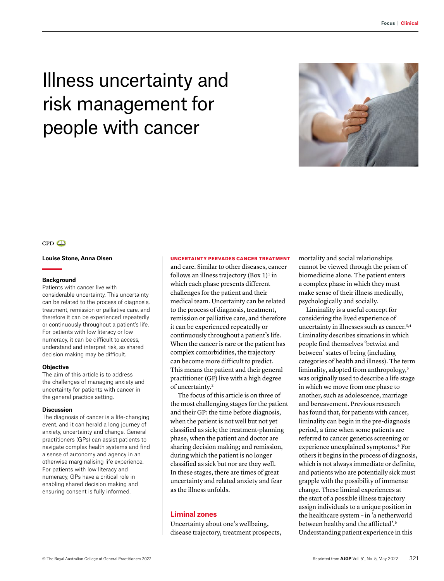# Illness uncertainty and risk management for people with cancer



# $CPD$

## **Louise Stone, Anna Olsen**

#### **Background**

Patients with cancer live with considerable uncertainty. This uncertainty can be related to the process of diagnosis, treatment, remission or palliative care, and therefore it can be experienced repeatedly or continuously throughout a patient's life. For patients with low literacy or low numeracy, it can be difficult to access, understand and interpret risk, so shared decision making may be difficult.

#### **Objective**

The aim of this article is to address the challenges of managing anxiety and uncertainty for patients with cancer in the general practice setting.

#### **Discussion**

The diagnosis of cancer is a life-changing event, and it can herald a long journey of anxiety, uncertainty and change. General practitioners (GPs) can assist patients to navigate complex health systems and find a sense of autonomy and agency in an otherwise marginalising life experience. For patients with low literacy and numeracy, GPs have a critical role in enabling shared decision making and ensuring consent is fully informed.

#### UNCERTAINTY PERVADES CANCER TREATMENT

and care. Similar to other diseases, cancer follows an illness trajectory (Box  $1$ )<sup>1</sup> in which each phase presents different challenges for the patient and their medical team. Uncertainty can be related to the process of diagnosis, treatment, remission or palliative care, and therefore it can be experienced repeatedly or continuously throughout a patient's life. When the cancer is rare or the patient has complex comorbidities, the trajectory can become more difficult to predict. This means the patient and their general practitioner (GP) live with a high degree of uncertainty.2

The focus of this article is on three of the most challenging stages for the patient and their GP: the time before diagnosis, when the patient is not well but not yet classified as sick; the treatment-planning phase, when the patient and doctor are sharing decision making; and remission, during which the patient is no longer classified as sick but nor are they well. In these stages, there are times of great uncertainty and related anxiety and fear as the illness unfolds.

# **Liminal zones**

Uncertainty about one's wellbeing, disease trajectory, treatment prospects, mortality and social relationships cannot be viewed through the prism of biomedicine alone. The patient enters a complex phase in which they must make sense of their illness medically, psychologically and socially.

Liminality is a useful concept for considering the lived experience of uncertainty in illnesses such as cancer.<sup>3,4</sup> Liminality describes situations in which people find themselves 'betwixt and between' states of being (including categories of health and illness). The term liminality, adopted from anthropology,<sup>5</sup> was originally used to describe a life stage in which we move from one phase to another, such as adolescence, marriage and bereavement. Previous research has found that, for patients with cancer, liminality can begin in the pre-diagnosis period, a time when some patients are referred to cancer genetics screening or experience unexplained symptoms.<sup>4</sup> For others it begins in the process of diagnosis, which is not always immediate or definite, and patients who are potentially sick must grapple with the possibility of immense change. These liminal experiences at the start of a possible illness trajectory assign individuals to a unique position in the healthcare system – in 'a netherworld between healthy and the afflicted'.6 Understanding patient experience in this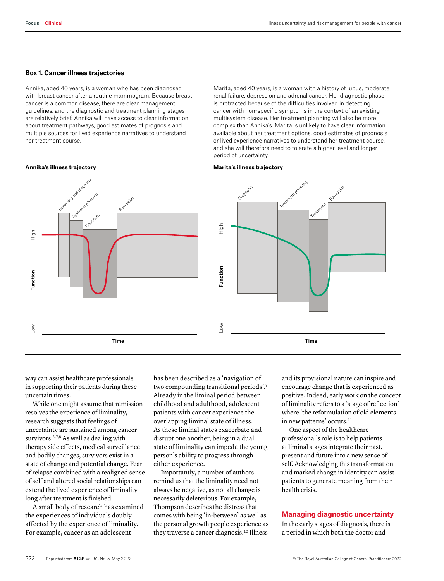## **Box 1. Cancer illness trajectories**

Annika, aged 40 years, is a woman who has been diagnosed with breast cancer after a routine mammogram. Because breast cancer is a common disease, there are clear management guidelines, and the diagnostic and treatment planning stages are relatively brief. Annika will have access to clear information about treatment pathways, good estimates of prognosis and multiple sources for lived experience narratives to understand her treatment course.

Marita, aged 40 years, is a woman with a history of lupus, moderate renal failure, depression and adrenal cancer. Her diagnostic phase is protracted because of the difficulties involved in detecting cancer with non-specific symptoms in the context of an existing multisystem disease. Her treatment planning will also be more complex than Annika's. Marita is unlikely to have clear information available about her treatment options, good estimates of prognosis or lived experience narratives to understand her treatment course, and she will therefore need to tolerate a higher level and longer period of uncertainty.

#### **Annika's illness trajectory**



way can assist healthcare professionals in supporting their patients during these uncertain times.

While one might assume that remission resolves the experience of liminality, research suggests that feelings of uncertainty are sustained among cancer survivors.<sup>3,7,8</sup> As well as dealing with therapy side effects, medical surveillance and bodily changes, survivors exist in a state of change and potential change. Fear of relapse combined with a realigned sense of self and altered social relationships can extend the lived experience of liminality long after treatment is finished.

A small body of research has examined the experiences of individuals doubly affected by the experience of liminality. For example, cancer as an adolescent

has been described as a 'navigation of two compounding transitional periods'.9 Already in the liminal period between childhood and adulthood, adolescent patients with cancer experience the overlapping liminal state of illness. As these liminal states exacerbate and disrupt one another, being in a dual state of liminality can impede the young person's ability to progress through either experience.

Importantly, a number of authors remind us that the liminality need not always be negative, as not all change is necessarily deleterious. For example, Thompson describes the distress that comes with being 'in-between' as well as the personal growth people experience as they traverse a cancer diagnosis.<sup>10</sup> Illness and its provisional nature can inspire and encourage change that is experienced as positive. Indeed, early work on the concept of liminality refers to a 'stage of reflection' where 'the reformulation of old elements in new patterns' occurs.<sup>11</sup>

One aspect of the healthcare professional's role is to help patients at liminal stages integrate their past, present and future into a new sense of self. Acknowledging this transformation and marked change in identity can assist patients to generate meaning from their health crisis.

## **Managing diagnostic uncertainty**

In the early stages of diagnosis, there is a period in which both the doctor and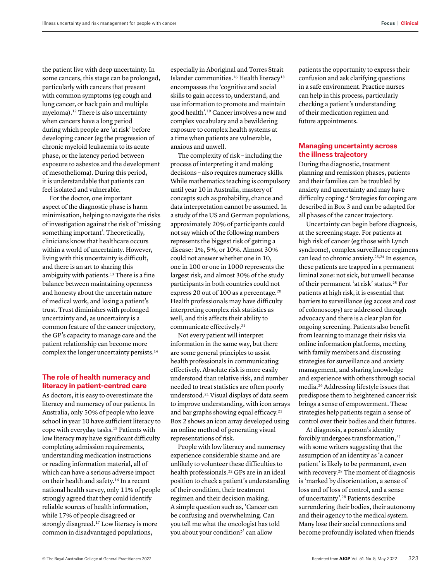the patient live with deep uncertainty. In some cancers, this stage can be prolonged, particularly with cancers that present with common symptoms (eg cough and lung cancer, or back pain and multiple myeloma).12 There is also uncertainty when cancers have a long period during which people are 'at risk' before developing cancer (eg the progression of chronic myeloid leukaemia to its acute phase, or the latency period between exposure to asbestos and the development of mesothelioma). During this period, it is understandable that patients can feel isolated and vulnerable.

For the doctor, one important aspect of the diagnostic phase is harm minimisation, helping to navigate the risks of investigation against the risk of 'missing something important'. Theoretically, clinicians know that healthcare occurs within a world of uncertainty. However, living with this uncertainty is difficult, and there is an art to sharing this ambiguity with patients.<sup>13</sup> There is a fine balance between maintaining openness and honesty about the uncertain nature of medical work, and losing a patient's trust. Trust diminishes with prolonged uncertainty and, as uncertainty is a common feature of the cancer trajectory, the GP's capacity to manage care and the patient relationship can become more complex the longer uncertainty persists.14

## **The role of health numeracy and literacy in patient-centred care**

As doctors, it is easy to overestimate the literacy and numeracy of our patients. In Australia, only 50% of people who leave school in year 10 have sufficient literacy to cope with everyday tasks.15 Patients with low literacy may have significant difficulty completing admission requirements, understanding medication instructions or reading information material, all of which can have a serious adverse impact on their health and safety.16 In a recent national health survey, only 11% of people strongly agreed that they could identify reliable sources of health information, while 17% of people disagreed or strongly disagreed.<sup>17</sup> Low literacy is more common in disadvantaged populations,

especially in Aboriginal and Torres Strait Islander communities.<sup>16</sup> Health literacy<sup>18</sup> encompasses the 'cognitive and social skills to gain access to, understand, and use information to promote and maintain good health'.19 Cancer involves a new and complex vocabulary and a bewildering exposure to complex health systems at a time when patients are vulnerable, anxious and unwell.

The complexity of risk – including the process of interpreting it and making decisions – also requires numeracy skills. While mathematics teaching is compulsory until year 10 in Australia, mastery of concepts such as probability, chance and data interpretation cannot be assumed. In a study of the US and German populations, approximately 20% of participants could not say which of the following numbers represents the biggest risk of getting a disease: 1%, 5%, or 10%. Almost 30% could not answer whether one in 10, one in 100 or one in 1000 represents the largest risk, and almost 30% of the study participants in both countries could not express 20 out of 100 as a percentage.<sup>20</sup> Health professionals may have difficulty interpreting complex risk statistics as well, and this affects their ability to communicate effectively.<sup>21</sup>

Not every patient will interpret information in the same way, but there are some general principles to assist health professionals in communicating effectively. Absolute risk is more easily understood than relative risk, and number needed to treat statistics are often poorly understood.21 Visual displays of data seem to improve understanding, with icon arrays and bar graphs showing equal efficacy.21 Box 2 shows an icon array developed using an online method of generating visual representations of risk.

People with low literacy and numeracy experience considerable shame and are unlikely to volunteer these difficulties to health professionals.<sup>22</sup> GPs are in an ideal position to check a patient's understanding of their condition, their treatment regimen and their decision making. A simple question such as, 'Cancer can be confusing and overwhelming. Can you tell me what the oncologist has told you about your condition?' can allow

patients the opportunity to express their confusion and ask clarifying questions in a safe environment. Practice nurses can help in this process, particularly checking a patient's understanding of their medication regimen and future appointments.

# **Managing uncertainty across the illness trajectory**

During the diagnostic, treatment planning and remission phases, patients and their families can be troubled by anxiety and uncertainty and may have difficulty coping.4 Strategies for coping are described in Box 3 and can be adapted for all phases of the cancer trajectory.

Uncertainty can begin before diagnosis, at the screening stage. For patients at high risk of cancer (eg those with Lynch syndrome), complex surveillance regimens can lead to chronic anxiety.<sup>23,24</sup> In essence, these patients are trapped in a permanent liminal zone: not sick, but unwell because of their permanent 'at risk' status.25 For patients at high risk, it is essential that barriers to surveillance (eg access and cost of colonoscopy) are addressed through advocacy and there is a clear plan for ongoing screening. Patients also benefit from learning to manage their risks via online information platforms, meeting with family members and discussing strategies for surveillance and anxiety management, and sharing knowledge and experience with others through social media.26 Addressing lifestyle issues that predispose them to heightened cancer risk brings a sense of empowerment. These strategies help patients regain a sense of control over their bodies and their futures.

At diagnosis, a person's identity forcibly undergoes transformation,<sup>27</sup> with some writers suggesting that the assumption of an identity as 'a cancer patient' is likely to be permanent, even with recovery.<sup>28</sup> The moment of diagnosis is 'marked by disorientation, a sense of loss and of loss of control, and a sense of uncertainty'.28 Patients describe surrendering their bodies, their autonomy and their agency to the medical system. Many lose their social connections and become profoundly isolated when friends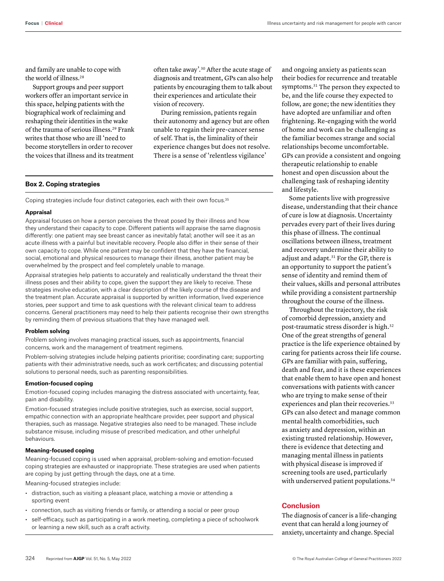and family are unable to cope with the world of illness.28

Support groups and peer support workers offer an important service in this space, helping patients with the biographical work of reclaiming and reshaping their identities in the wake of the trauma of serious illness.29 Frank writes that those who are ill 'need to become storytellers in order to recover the voices that illness and its treatment

often take away'.30 After the acute stage of diagnosis and treatment, GPs can also help patients by encouraging them to talk about their experiences and articulate their vision of recovery.

During remission, patients regain their autonomy and agency but are often unable to regain their pre-cancer sense of self. That is, the liminality of their experience changes but does not resolve. There is a sense of 'relentless vigilance'

# **Box 2. Coping strategies**

Coping strategies include four distinct categories, each with their own focus.<sup>35</sup>

#### **Appraisal**

Appraisal focuses on how a person perceives the threat posed by their illness and how they understand their capacity to cope. Different patients will appraise the same diagnosis differently: one patient may see breast cancer as inevitably fatal; another will see it as an acute illness with a painful but inevitable recovery. People also differ in their sense of their own capacity to cope. While one patient may be confident that they have the financial, social, emotional and physical resources to manage their illness, another patient may be overwhelmed by the prospect and feel completely unable to manage.

Appraisal strategies help patients to accurately and realistically understand the threat their illness poses and their ability to cope, given the support they are likely to receive. These strategies involve education, with a clear description of the likely course of the disease and the treatment plan. Accurate appraisal is supported by written information, lived experience stories, peer support and time to ask questions with the relevant clinical team to address concerns. General practitioners may need to help their patients recognise their own strengths by reminding them of previous situations that they have managed well.

## **Problem solving**

Problem solving involves managing practical issues, such as appointments, financial concerns, work and the management of treatment regimens.

Problem-solving strategies include helping patients prioritise; coordinating care; supporting patients with their administrative needs, such as work certificates; and discussing potential solutions to personal needs, such as parenting responsibilities.

#### **Emotion-focused coping**

Emotion-focused coping includes managing the distress associated with uncertainty, fear, pain and disability.

Emotion-focused strategies include positive strategies, such as exercise, social support, empathic connection with an appropriate healthcare provider, peer support and physical therapies, such as massage. Negative strategies also need to be managed. These include substance misuse, including misuse of prescribed medication, and other unhelpful behaviours.

#### **Meaning-focused coping**

Meaning-focused coping is used when appraisal, problem-solving and emotion-focused coping strategies are exhausted or inappropriate. These strategies are used when patients are coping by just getting through the days, one at a time.

Meaning-focused strategies include:

- distraction, such as visiting a pleasant place, watching a movie or attending a sporting event
- connection, such as visiting friends or family, or attending a social or peer group
- self-efficacy, such as participating in a work meeting, completing a piece of schoolwork or learning a new skill, such as a craft activity.

and ongoing anxiety as patients scan their bodies for recurrence and treatable symptoms.31 The person they expected to be, and the life course they expected to follow, are gone; the new identities they have adopted are unfamiliar and often frightening. Re-engaging with the world of home and work can be challenging as the familiar becomes strange and social relationships become uncomfortable. GPs can provide a consistent and ongoing therapeutic relationship to enable honest and open discussion about the challenging task of reshaping identity and lifestyle.

Some patients live with progressive disease, understanding that their chance of cure is low at diagnosis. Uncertainty pervades every part of their lives during this phase of illness. The continual oscillations between illness, treatment and recovery undermine their ability to adjust and adapt.31 For the GP, there is an opportunity to support the patient's sense of identity and remind them of their values, skills and personal attributes while providing a consistent partnership throughout the course of the illness.

Throughout the trajectory, the risk of comorbid depression, anxiety and post-traumatic stress disorder is high.32 One of the great strengths of general practice is the life experience obtained by caring for patients across their life course. GPs are familiar with pain, suffering, death and fear, and it is these experiences that enable them to have open and honest conversations with patients with cancer who are trying to make sense of their experiences and plan their recoveries.<sup>33</sup> GPs can also detect and manage common mental health comorbidities, such as anxiety and depression, within an existing trusted relationship. However, there is evidence that detecting and managing mental illness in patients with physical disease is improved if screening tools are used, particularly with underserved patient populations.<sup>34</sup>

## **Conclusion**

The diagnosis of cancer is a life-changing event that can herald a long journey of anxiety, uncertainty and change. Special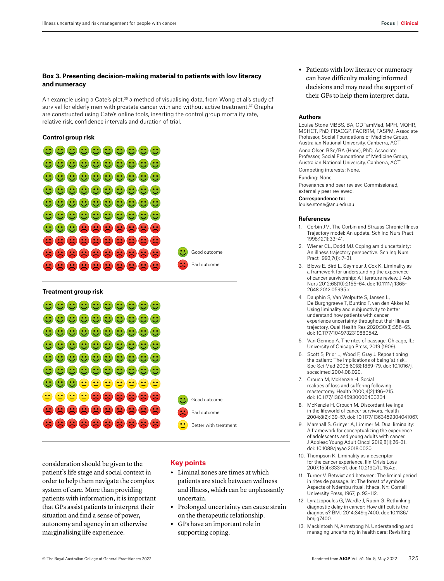# **Box 3. Presenting decision-making material to patients with low literacy and numeracy**

An example using a Cate's plot,<sup>36</sup> a method of visualising data, from Wong et al's study of survival for elderly men with prostate cancer with and without active treatment.<sup>37</sup> Graphs are constructed using Cate's online tools, inserting the control group mortality rate, relative risk, confidence intervals and duration of trial.

# **Control group risk**





consideration should be given to the patient's life stage and social context in order to help them navigate the complex system of care. More than providing patients with information, it is important that GPs assist patients to interpret their situation and find a sense of power, autonomy and agency in an otherwise marginalising life experience.

# **Key points**

Good outcome

Bad outcome

- **•** Liminal zones are times at which patients are stuck between wellness and illness, which can be unpleasantly uncertain.
- **•** Prolonged uncertainty can cause strain on the therapeutic relationship.
- **•** GPs have an important role in supporting coping.

**•** Patients with low literacy or numeracy can have difficulty making informed decisions and may need the support of their GPs to help them interpret data.

## **Authors**

Louise Stone MBBS, BA, GDFamMed, MPH, MQHR, MSHCT, PhD, FRACGP, FACRRM, FASPM, Associate Professor, Social Foundations of Medicine Group, Australian National University, Canberra, ACT

Anna Olsen BSc/BA (Hons), PhD, Associate Professor, Social Foundations of Medicine Group, Australian National University, Canberra, ACT

Competing interests: None.

Funding: None.

Provenance and peer review: Commissioned, externally peer reviewed.

Correspondence to: louise.stone@anu.edu.au

#### **References**

- 1. Corbin JM. The Corbin and Strauss Chronic Illness Trajectory model: An update. Sch Inq Nurs Pract 1998;12(1):33–41.
- 2. Wiener CL, Dodd MJ. Coping amid uncertainty: An illness trajectory perspective. Sch Inq Nurs Pract 1993;7(1):17–31.
- 3. Blows E, Bird L, Seymour J, Cox K. Liminality as a framework for understanding the experience of cancer survivorship: A literature review. J Adv Nurs 2012;68(10):2155–64. doi: 10.1111/j.1365- 2648.2012.05995.x.
- 4. Dauphin S, Van Wolputte S, Jansen L, De Burghgraeve T, Buntinx F, van den Akker M. Using liminality and subjunctivity to better understand how patients with cancer experience uncertainty throughout their illness trajectory. Qual Health Res 2020;30(3):356–65. doi: 10.1177/1049732319880542.
- 5. Van Gennep A. The rites of passage. Chicago, IL: University of Chicago Press, 2019 (1909).
- 6. Scott S, Prior L, Wood F, Gray J. Repositioning the patient: The implications of being 'at risk'. Soc Sci Med 2005;60(8):1869–79. doi: 10.1016/j. socscimed.2004.08.020.
- 7. Crouch M, McKenzie H. Social realities of loss and suffering following mastectomy. Health 2000;4(2):196–215. doi: 10.1177/136345930000400204
- 8. McKenzie H, Crouch M. Discordant feelings in the lifeworld of cancer survivors. Health 2004;8(2):139–57. doi: 10.1177/1363459304041067.
- 9. Marshall S, Grinyer A, Limmer M. Dual liminality: A framework for conceptualizing the experience of adolescents and young adults with cancer. J Adolesc Young Adult Oncol 2019;8(1):26–31. doi: 10.1089/jayao.2018.0030.
- 10. Thompson K. Liminality as a descriptor for the cancer experience. Illn Crisis Loss 2007;15(4):333–51. doi: 10.2190/IL.15.4.d.
- 11. Turner V. Betwixt and between: The liminal period in rites de passage. In: The forest of symbols: Aspects of Ndembu ritual. Ithaca, NY: Cornell University Press, 1967; p. 93–112.
- Lyratzopoulos G, Wardle J, Rubin G. Rethinking diagnostic delay in cancer: How difficult is the diagnosis? BMJ 2014;349:g7400. doi: 10.1136/ bmj.g7400.
- 13. Mackintosh N, Armstrong N. Understanding and managing uncertainty in health care: Revisiting